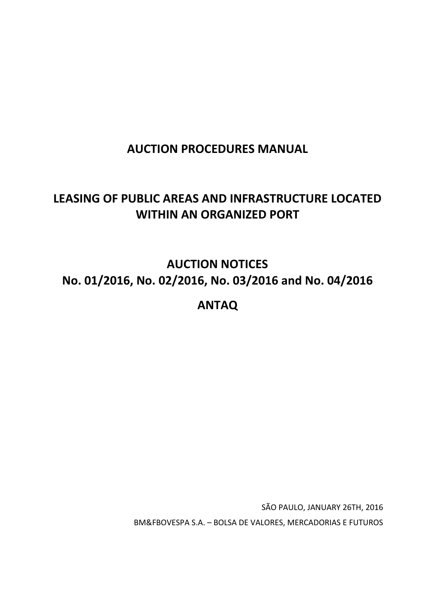# **AUCTION PROCEDURES MANUAL**

# **LEASING OF PUBLIC AREAS AND INFRASTRUCTURE LOCATED WITHIN AN ORGANIZED PORT**

**AUCTION NOTICES No. 01/2016, No. 02/2016, No. 03/2016 and No. 04/2016**

**ANTAQ**

SÃO PAULO, JANUARY 26TH, 2016 BM&FBOVESPA S.A. – BOLSA DE VALORES, MERCADORIAS E FUTUROS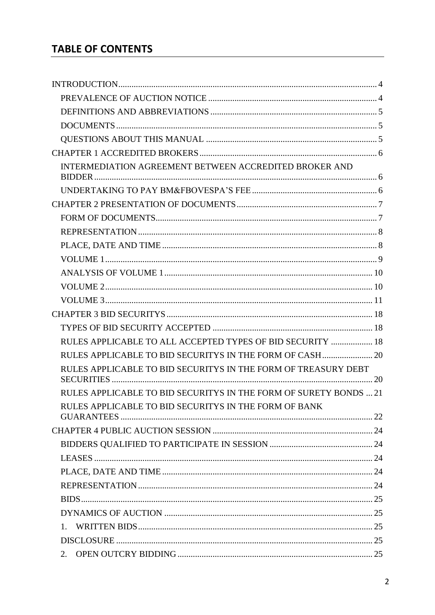# **TABLE OF CONTENTS**

| INTERMEDIATION AGREEMENT BETWEEN ACCREDITED BROKER AND            |  |
|-------------------------------------------------------------------|--|
|                                                                   |  |
|                                                                   |  |
|                                                                   |  |
|                                                                   |  |
|                                                                   |  |
|                                                                   |  |
|                                                                   |  |
|                                                                   |  |
|                                                                   |  |
|                                                                   |  |
|                                                                   |  |
| RULES APPLICABLE TO ALL ACCEPTED TYPES OF BID SECURITY  18        |  |
|                                                                   |  |
| RULES APPLICABLE TO BID SECURITYS IN THE FORM OF TREASURY DEBT    |  |
| RULES APPLICABLE TO BID SECURITYS IN THE FORM OF SURETY BONDS  21 |  |
| RULES APPLICABLE TO BID SECURITYS IN THE FORM OF BANK             |  |
|                                                                   |  |
|                                                                   |  |
|                                                                   |  |
|                                                                   |  |
|                                                                   |  |
|                                                                   |  |
|                                                                   |  |
|                                                                   |  |
|                                                                   |  |
| 2.                                                                |  |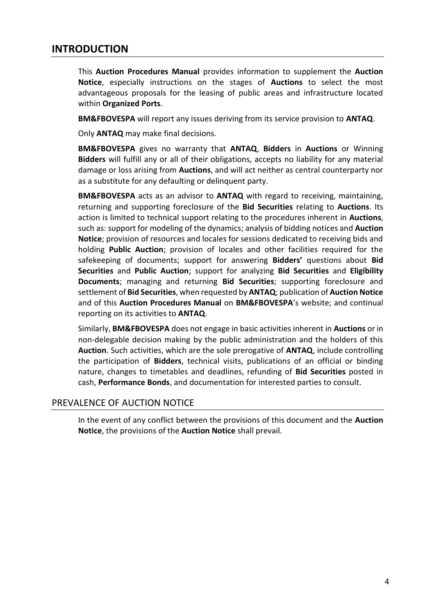# **INTRODUCTION**

This **Auction Procedures Manual** provides information to supplement the **Auction Notice**, especially instructions on the stages of **Auctions** to select the most advantageous proposals for the leasing of public areas and infrastructure located within **Organized Ports**.

**BM&FBOVESPA** will report any issues deriving from its service provision to **ANTAQ**.

Only **ANTAQ** may make final decisions.

**BM&FBOVESPA** gives no warranty that **ANTAQ**, **Bidders** in **Auctions** or Winning **Bidders** will fulfill any or all of their obligations, accepts no liability for any material damage or loss arising from **Auctions**, and will act neither as central counterparty nor as a substitute for any defaulting or delinquent party.

**BM&FBOVESPA** acts as an advisor to **ANTAQ** with regard to receiving, maintaining, returning and supporting foreclosure of the **Bid Securities** relating to **Auctions**. Its action is limited to technical support relating to the procedures inherent in **Auctions**, such as: support for modeling of the dynamics; analysis of bidding notices and **Auction Notice**; provision of resources and locales for sessions dedicated to receiving bids and holding **Public Auction**; provision of locales and other facilities required for the safekeeping of documents; support for answering **Bidders'** questions about **Bid Securities** and **Public Auction**; support for analyzing **Bid Securities** and **Eligibility Documents**; managing and returning **Bid Securities**; supporting foreclosure and settlement of **Bid Securities**, when requested by **ANTAQ**; publication of **Auction Notice** and of this **Auction Procedures Manual** on **BM&FBOVESPA**'s website; and continual reporting on its activities to **ANTAQ**.

Similarly, **BM&FBOVESPA** does not engage in basic activities inherent in **Auctions** or in non-delegable decision making by the public administration and the holders of this **Auction**. Such activities, which are the sole prerogative of **ANTAQ**, include controlling the participation of **Bidders**, technical visits, publications of an official or binding nature, changes to timetables and deadlines, refunding of **Bid Securities** posted in cash, **Performance Bonds**, and documentation for interested parties to consult.

#### PREVALENCE OF AUCTION NOTICE

In the event of any conflict between the provisions of this document and the **Auction Notice**, the provisions of the **Auction Notice** shall prevail.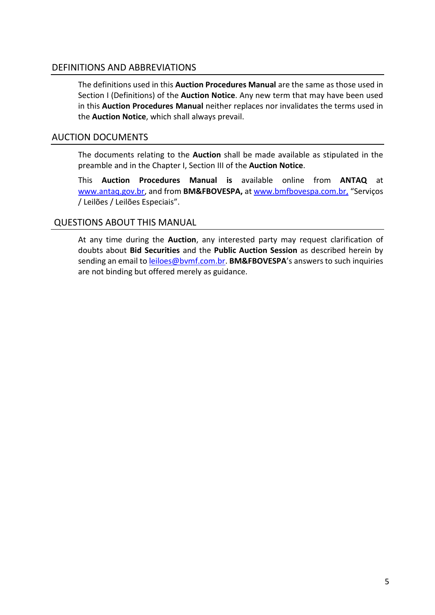## DEFINITIONS AND ABBREVIATIONS

The definitions used in this **Auction Procedures Manual** are the same as those used in Section I (Definitions) of the **Auction Notice**. Any new term that may have been used in this **Auction Procedures Manual** neither replaces nor invalidates the terms used in the **Auction Notice**, which shall always prevail.

## AUCTION DOCUMENTS

The documents relating to the **Auction** shall be made available as stipulated in the preamble and in the Chapter I, Section III of the **Auction Notice**.

This **Auction Procedures Manual is** available online from **ANTAQ** at [www.antaq.gov.br,](http://www.antaq.gov.br/) and from **BM&FBOVESPA,** at [www.bmfbovespa.com.br,](http://www.bmfbovespa.com.br/) "Serviços / Leilões / Leilões Especiais".

## QUESTIONS ABOUT THIS MANUAL

At any time during the **Auction**, any interested party may request clarification of doubts about **Bid Securities** and the **Public Auction Session** as described herein by sending an email to [leiloes@bvmf.com.br.](mailto:leiloes@bvmf.com.br) **BM&FBOVESPA**'s answers to such inquiries are not binding but offered merely as guidance.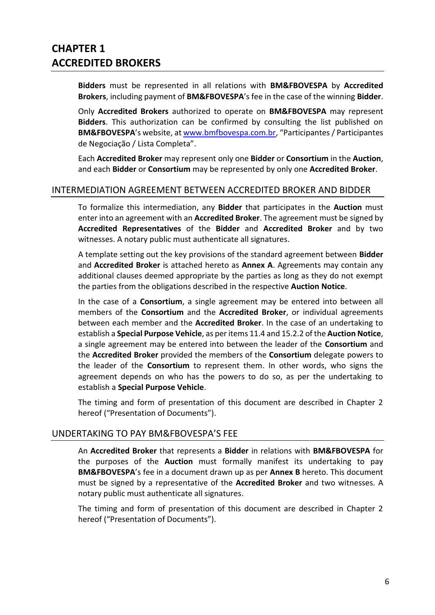# **CHAPTER 1 ACCREDITED BROKERS**

**Bidders** must be represented in all relations with **BM&FBOVESPA** by **Accredited Brokers**, including payment of **BM&FBOVESPA**'s fee in the case of the winning **Bidder**.

Only **Accredited Brokers** authorized to operate on **BM&FBOVESPA** may represent **Bidders**. This authorization can be confirmed by consulting the list published on **BM&FBOVESPA**'s website, at [www.bmfbovespa.com.br,](http://www.bmfbovespa.com.br/) "Participantes/ Participantes de Negociação / Lista Completa".

Each **Accredited Broker** may represent only one **Bidder** or **Consortium** in the **Auction**, and each **Bidder** or **Consortium** may be represented by only one **Accredited Broker**.

### INTERMEDIATION AGREEMENT BETWEEN ACCREDITED BROKER AND BIDDER

To formalize this intermediation, any **Bidder** that participates in the **Auction** must enter into an agreement with an **Accredited Broker**. The agreement must be signed by **Accredited Representatives** of the **Bidder** and **Accredited Broker** and by two witnesses. A notary public must authenticate all signatures.

A template setting out the key provisions of the standard agreement between **Bidder** and **Accredited Broker** is attached hereto as **Annex A**. Agreements may contain any additional clauses deemed appropriate by the parties as long as they do not exempt the parties from the obligations described in the respective **Auction Notice**.

In the case of a **Consortium**, a single agreement may be entered into between all members of the **Consortium** and the **Accredited Broker**, or individual agreements between each member and the **Accredited Broker**. In the case of an undertaking to establish a **Special Purpose Vehicle**, as per items 11.4 and 15.2.2 of the **Auction Notice**, a single agreement may be entered into between the leader of the **Consortium** and the **Accredited Broker** provided the members of the **Consortium** delegate powers to the leader of the **Consortium** to represent them. In other words, who signs the agreement depends on who has the powers to do so, as per the undertaking to establish a **Special Purpose Vehicle**.

The timing and form of presentation of this document are described in Chapter 2 hereof ("Presentation of Documents").

### UNDERTAKING TO PAY BM&FBOVESPA'S FEE

An **Accredited Broker** that represents a **Bidder** in relations with **BM&FBOVESPA** for the purposes of the **Auction** must formally manifest its undertaking to pay **BM&FBOVESPA**'s fee in a document drawn up as per **Annex B** hereto. This document must be signed by a representative of the **Accredited Broker** and two witnesses. A notary public must authenticate all signatures.

The timing and form of presentation of this document are described in Chapter 2 hereof ("Presentation of Documents").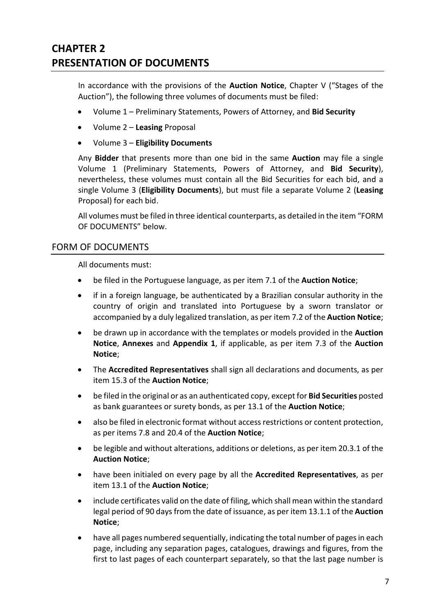# **CHAPTER 2 PRESENTATION OF DOCUMENTS**

In accordance with the provisions of the **Auction Notice**, Chapter V ("Stages of the Auction"), the following three volumes of documents must be filed:

- Volume 1 Preliminary Statements, Powers of Attorney, and **Bid Security**
- Volume 2 **Leasing** Proposal
- Volume 3 **Eligibility Documents**

Any **Bidder** that presents more than one bid in the same **Auction** may file a single Volume 1 (Preliminary Statements, Powers of Attorney, and **Bid Security**), nevertheless, these volumes must contain all the Bid Securities for each bid, and a single Volume 3 (**Eligibility Documents**), but must file a separate Volume 2 (**Leasing** Proposal) for each bid.

All volumes must be filed in three identical counterparts, as detailed in the item "FORM OF DOCUMENTS" below.

## FORM OF DOCUMENTS

All documents must:

- be filed in the Portuguese language, as per item 7.1 of the **Auction Notice**;
- if in a foreign language, be authenticated by a Brazilian consular authority in the country of origin and translated into Portuguese by a sworn translator or accompanied by a duly legalized translation, as per item 7.2 of the **Auction Notice**;
- be drawn up in accordance with the templates or models provided in the **Auction Notice**, **Annexes** and **Appendix 1**, if applicable, as per item 7.3 of the **Auction Notice**;
- The **Accredited Representatives** shall sign all declarations and documents, as per item 15.3 of the **Auction Notice**;
- be filed in the original or as an authenticated copy, except for **Bid Securities** posted as bank guarantees or surety bonds, as per 13.1 of the **Auction Notice**;
- also be filed in electronic format without access restrictions or content protection, as per items 7.8 and 20.4 of the **Auction Notice**;
- be legible and without alterations, additions or deletions, as per item 20.3.1 of the **Auction Notice**;
- have been initialed on every page by all the **Accredited Representatives**, as per item 13.1 of the **Auction Notice**;
- include certificates valid on the date of filing, which shall mean within the standard legal period of 90 days from the date of issuance, as per item 13.1.1 of the **Auction Notice**;
- have all pages numbered sequentially, indicating the total number of pages in each page, including any separation pages, catalogues, drawings and figures, from the first to last pages of each counterpart separately, so that the last page number is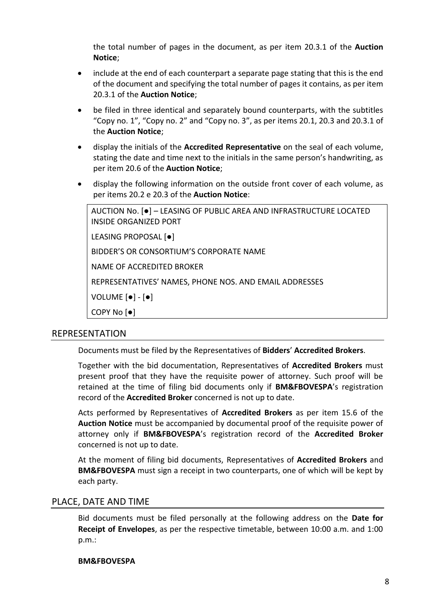the total number of pages in the document, as per item 20.3.1 of the **Auction Notice**;

- include at the end of each counterpart a separate page stating that this is the end of the document and specifying the total number of pages it contains, as per item 20.3.1 of the **Auction Notice**;
- be filed in three identical and separately bound counterparts, with the subtitles "Copy no.  $1$ ", "Copy no.  $2$ " and "Copy no.  $3$ ", as per items 20.1, 20.3 and 20.3.1 of the **Auction Notice**;
- display the initials of the **Accredited Representative** on the seal of each volume, stating the date and time next to the initials in the same person's handwriting, as per item 20.6 of the **Auction Notice**;
- display the following information on the outside front cover of each volume, as per items 20.2 e 20.3 of the **Auction Notice**:

| AUCTION No. [●] - LEASING OF PUBLIC AREA AND INFRASTRUCTURE LOCATED<br>INSIDE ORGANIZED PORT |
|----------------------------------------------------------------------------------------------|
| LEASING PROPOSAL [.]                                                                         |
| BIDDER'S OR CONSORTIUM'S CORPORATE NAME                                                      |
| NAME OF ACCREDITED BROKER                                                                    |
| REPRESENTATIVES' NAMES, PHONE NOS. AND EMAIL ADDRESSES                                       |
| VOLUME $[•]$ - $[•]$                                                                         |
| COPY No $\bullet$                                                                            |

#### REPRESENTATION

Documents must be filed by the Representatives of **Bidders**' **Accredited Brokers**.

Together with the bid documentation, Representatives of **Accredited Brokers** must present proof that they have the requisite power of attorney. Such proof will be retained at the time of filing bid documents only if **BM&FBOVESPA**'s registration record of the **Accredited Broker** concerned is not up to date.

Acts performed by Representatives of **Accredited Brokers** as per item 15.6 of the **Auction Notice** must be accompanied by documental proof of the requisite power of attorney only if **BM&FBOVESPA**'s registration record of the **Accredited Broker** concerned is not up to date.

At the moment of filing bid documents, Representatives of **Accredited Brokers** and **BM&FBOVESPA** must sign a receipt in two counterparts, one of which will be kept by each party.

#### PLACE, DATE AND TIME

Bid documents must be filed personally at the following address on the **Date for Receipt of Envelopes**, as per the respective timetable, between 10:00 a.m. and 1:00 p.m.:

#### **BM&FBOVESPA**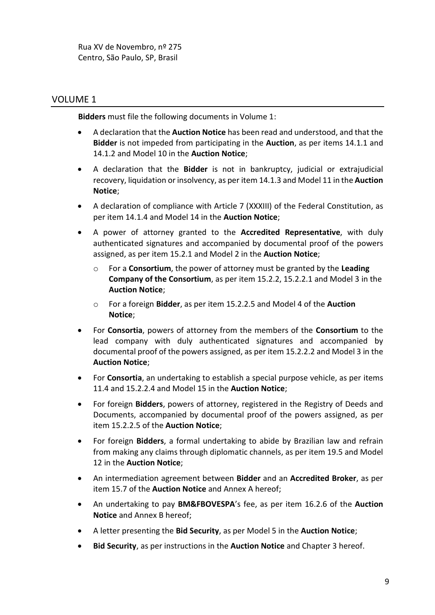Rua XV de Novembro, nº 275 Centro, São Paulo, SP, Brasil

## VOLUME 1

**Bidders** must file the following documents in Volume 1:

- A declaration that the **Auction Notice** has been read and understood, and that the **Bidder** is not impeded from participating in the **Auction**, as per items 14.1.1 and 14.1.2 and Model 10 in the **Auction Notice**;
- A declaration that the **Bidder** is not in bankruptcy, judicial or extrajudicial recovery, liquidation or insolvency, as per item 14.1.3 and Model 11 in the **Auction Notice**;
- A declaration of compliance with Article 7 (XXXIII) of the Federal Constitution, as per item 14.1.4 and Model 14 in the **Auction Notice**;
- A power of attorney granted to the **Accredited Representative**, with duly authenticated signatures and accompanied by documental proof of the powers assigned, as per item 15.2.1 and Model 2 in the **Auction Notice**;
	- o For a **Consortium**, the power of attorney must be granted by the **Leading Company of the Consortium**, as per item 15.2.2, 15.2.2.1 and Model 3 in the **Auction Notice**;
	- o For a foreign **Bidder**, as per item 15.2.2.5 and Model 4 of the **Auction Notice**;
- For **Consortia**, powers of attorney from the members of the **Consortium** to the lead company with duly authenticated signatures and accompanied by documental proof of the powers assigned, as per item 15.2.2.2 and Model 3 in the **Auction Notice**;
- For **Consortia**, an undertaking to establish a special purpose vehicle, as per items 11.4 and 15.2.2.4 and Model 15 in the **Auction Notice**;
- For foreign **Bidders**, powers of attorney, registered in the Registry of Deeds and Documents, accompanied by documental proof of the powers assigned, as per item 15.2.2.5 of the **Auction Notice**;
- For foreign **Bidders**, a formal undertaking to abide by Brazilian law and refrain from making any claims through diplomatic channels, as per item 19.5 and Model 12 in the **Auction Notice**;
- An intermediation agreement between **Bidder** and an **Accredited Broker**, as per item 15.7 of the **Auction Notice** and Annex A hereof;
- An undertaking to pay **BM&FBOVESPA**'s fee, as per item 16.2.6 of the **Auction Notice** and Annex B hereof;
- A letter presenting the **Bid Security**, as per Model 5 in the **Auction Notice**;
- **Bid Security**, as per instructions in the **Auction Notice** and Chapter 3 hereof.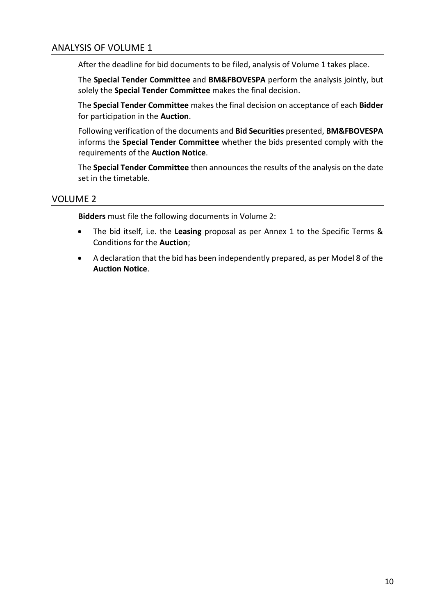# ANALYSIS OF VOLUME 1

After the deadline for bid documents to be filed, analysis of Volume 1 takes place.

The **Special Tender Committee** and **BM&FBOVESPA** perform the analysis jointly, but solely the **Special Tender Committee** makes the final decision.

The **Special Tender Committee** makes the final decision on acceptance of each **Bidder** for participation in the **Auction**.

Following verification of the documents and **Bid Securities** presented, **BM&FBOVESPA** informs the **Special Tender Committee** whether the bids presented comply with the requirements of the **Auction Notice**.

The **Special Tender Committee** then announces the results of the analysis on the date set in the timetable.

## VOLUME 2

**Bidders** must file the following documents in Volume 2:

- The bid itself, i.e. the **Leasing** proposal as per Annex 1 to the Specific Terms & Conditions for the **Auction**;
- A declaration that the bid has been independently prepared, as per Model 8 of the **Auction Notice**.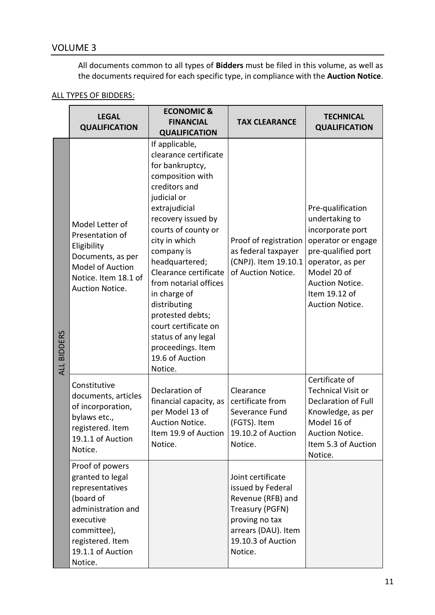# VOLUME 3

All documents common to all types of **Bidders** must be filed in this volume, as well as the documents required for each specific type, in compliance with the **Auction Notice**.

# ALL TYPES OF BIDDERS:

|                    | <b>ECONOMIC &amp;</b><br><b>LEGAL</b><br><b>FINANCIAL</b><br><b>QUALIFICATION</b><br><b>QUALIFICATION</b>                                                                 |                                                                                                                                                                                                                                                                                                                                                                                                                                       | <b>TAX CLEARANCE</b>                                                                                                                                     | <b>TECHNICAL</b><br><b>QUALIFICATION</b>                                                                                                                                                      |
|--------------------|---------------------------------------------------------------------------------------------------------------------------------------------------------------------------|---------------------------------------------------------------------------------------------------------------------------------------------------------------------------------------------------------------------------------------------------------------------------------------------------------------------------------------------------------------------------------------------------------------------------------------|----------------------------------------------------------------------------------------------------------------------------------------------------------|-----------------------------------------------------------------------------------------------------------------------------------------------------------------------------------------------|
| <b>ALL BIDDERS</b> | Model Letter of<br>Presentation of<br>Eligibility<br>Documents, as per<br>Model of Auction<br>Notice. Item 18.1 of<br>Auction Notice.                                     | If applicable,<br>clearance certificate<br>for bankruptcy,<br>composition with<br>creditors and<br>judicial or<br>extrajudicial<br>recovery issued by<br>courts of county or<br>city in which<br>company is<br>headquartered;<br>Clearance certificate<br>from notarial offices<br>in charge of<br>distributing<br>protested debts;<br>court certificate on<br>status of any legal<br>proceedings. Item<br>19.6 of Auction<br>Notice. | Proof of registration<br>as federal taxpayer<br>(CNPJ). Item 19.10.1<br>of Auction Notice.                                                               | Pre-qualification<br>undertaking to<br>incorporate port<br>operator or engage<br>pre-qualified port<br>operator, as per<br>Model 20 of<br>Auction Notice.<br>Item 19.12 of<br>Auction Notice. |
|                    | Constitutive<br>documents, articles<br>of incorporation,<br>bylaws etc.,<br>registered. Item<br>19.1.1 of Auction<br>Notice.                                              | Declaration of<br>financial capacity, as<br>per Model 13 of<br>Auction Notice.<br>Item 19.9 of Auction<br>Notice.                                                                                                                                                                                                                                                                                                                     | Clearance<br>certificate from<br>Severance Fund<br>(FGTS). Item<br>19.10.2 of Auction<br>Notice.                                                         | Certificate of<br><b>Technical Visit or</b><br><b>Declaration of Full</b><br>Knowledge, as per<br>Model 16 of<br>Auction Notice.<br>Item 5.3 of Auction<br>Notice.                            |
|                    | Proof of powers<br>granted to legal<br>representatives<br>(board of<br>administration and<br>executive<br>committee),<br>registered. Item<br>19.1.1 of Auction<br>Notice. |                                                                                                                                                                                                                                                                                                                                                                                                                                       | Joint certificate<br>issued by Federal<br>Revenue (RFB) and<br>Treasury (PGFN)<br>proving no tax<br>arrears (DAU). Item<br>19.10.3 of Auction<br>Notice. |                                                                                                                                                                                               |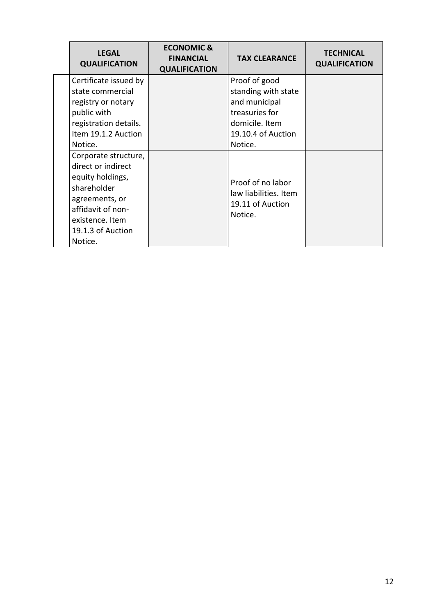| <b>LEGAL</b><br><b>QUALIFICATION</b>                                                                                                                                    | <b>ECONOMIC &amp;</b><br><b>FINANCIAL</b><br><b>QUALIFICATION</b> | <b>TAX CLEARANCE</b>                                                                                                       | <b>TECHNICAL</b><br><b>QUALIFICATION</b> |
|-------------------------------------------------------------------------------------------------------------------------------------------------------------------------|-------------------------------------------------------------------|----------------------------------------------------------------------------------------------------------------------------|------------------------------------------|
| Certificate issued by<br>state commercial<br>registry or notary<br>public with<br>registration details.<br>Item 19.1.2 Auction<br>Notice.                               |                                                                   | Proof of good<br>standing with state<br>and municipal<br>treasuries for<br>domicile. Item<br>19.10.4 of Auction<br>Notice. |                                          |
| Corporate structure,<br>direct or indirect<br>equity holdings,<br>shareholder<br>agreements, or<br>affidavit of non-<br>existence. Item<br>19.1.3 of Auction<br>Notice. |                                                                   | Proof of no labor<br>law liabilities. Item<br>19.11 of Auction<br>Notice.                                                  |                                          |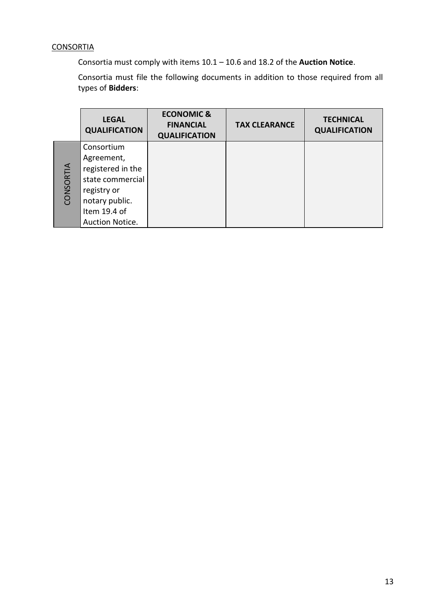# **CONSORTIA**

Consortia must comply with items 10.1 – 10.6 and 18.2 of the **Auction Notice**.

Consortia must file the following documents in addition to those required from all types of **Bidders**:

|           | <b>LEGAL</b><br><b>QUALIFICATION</b> | <b>ECONOMIC &amp;</b><br><b>FINANCIAL</b><br><b>QUALIFICATION</b> | <b>TAX CLEARANCE</b> | <b>TECHNICAL</b><br><b>QUALIFICATION</b> |
|-----------|--------------------------------------|-------------------------------------------------------------------|----------------------|------------------------------------------|
|           | Consortium                           |                                                                   |                      |                                          |
|           | Agreement,                           |                                                                   |                      |                                          |
|           | registered in the                    |                                                                   |                      |                                          |
| CONSORTIA | state commercial                     |                                                                   |                      |                                          |
|           | registry or                          |                                                                   |                      |                                          |
|           | notary public.                       |                                                                   |                      |                                          |
|           | Item 19.4 of                         |                                                                   |                      |                                          |
|           | Auction Notice.                      |                                                                   |                      |                                          |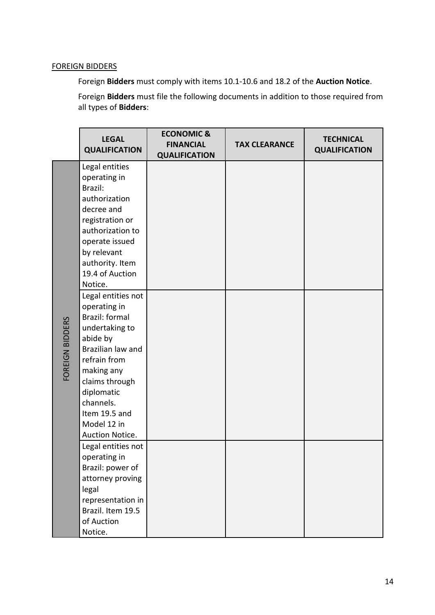## FOREIGN BIDDERS

Foreign **Bidders** must comply with items 10.1-10.6 and 18.2 of the **Auction Notice**.

Foreign **Bidders** must file the following documents in addition to those required from all types of **Bidders**:

|                 | <b>LEGAL</b><br><b>QUALIFICATION</b>                                                                                                                                                                                                                                                                                                                                                                                    | <b>ECONOMIC &amp;</b><br><b>FINANCIAL</b> | <b>TAX CLEARANCE</b> | <b>TECHNICAL</b><br><b>QUALIFICATION</b> |
|-----------------|-------------------------------------------------------------------------------------------------------------------------------------------------------------------------------------------------------------------------------------------------------------------------------------------------------------------------------------------------------------------------------------------------------------------------|-------------------------------------------|----------------------|------------------------------------------|
| FOREIGN BIDDERS | Legal entities<br>operating in<br>Brazil:<br>authorization<br>decree and<br>registration or<br>authorization to<br>operate issued<br>by relevant<br>authority. Item<br>19.4 of Auction<br>Notice.<br>Legal entities not<br>operating in<br>Brazil: formal<br>undertaking to<br>abide by<br>Brazilian law and<br>refrain from<br>making any<br>claims through<br>diplomatic<br>channels.<br>Item 19.5 and<br>Model 12 in | <b>QUALIFICATION</b>                      |                      |                                          |
|                 | Auction Notice.<br>Legal entities not<br>operating in<br>Brazil: power of<br>attorney proving<br>legal<br>representation in<br>Brazil. Item 19.5<br>of Auction<br>Notice.                                                                                                                                                                                                                                               |                                           |                      |                                          |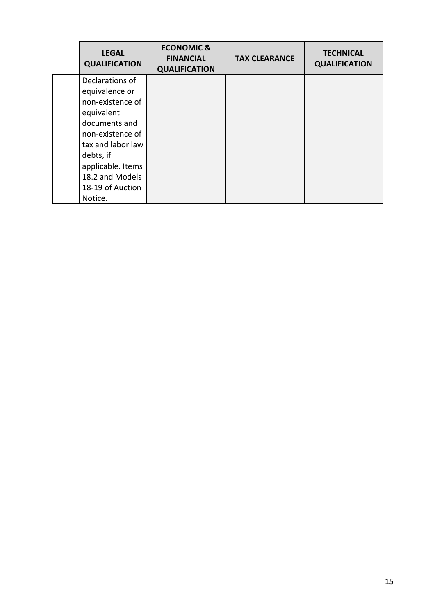| <b>LEGAL</b><br><b>QUALIFICATION</b> | <b>ECONOMIC &amp;</b><br><b>FINANCIAL</b><br><b>QUALIFICATION</b> | <b>TAX CLEARANCE</b> | <b>TECHNICAL</b><br><b>QUALIFICATION</b> |
|--------------------------------------|-------------------------------------------------------------------|----------------------|------------------------------------------|
| Declarations of                      |                                                                   |                      |                                          |
| equivalence or                       |                                                                   |                      |                                          |
| non-existence of                     |                                                                   |                      |                                          |
| equivalent                           |                                                                   |                      |                                          |
| documents and                        |                                                                   |                      |                                          |
| non-existence of                     |                                                                   |                      |                                          |
| tax and labor law                    |                                                                   |                      |                                          |
| debts, if                            |                                                                   |                      |                                          |
| applicable. Items                    |                                                                   |                      |                                          |
| 18.2 and Models                      |                                                                   |                      |                                          |
| 18-19 of Auction                     |                                                                   |                      |                                          |
| Notice.                              |                                                                   |                      |                                          |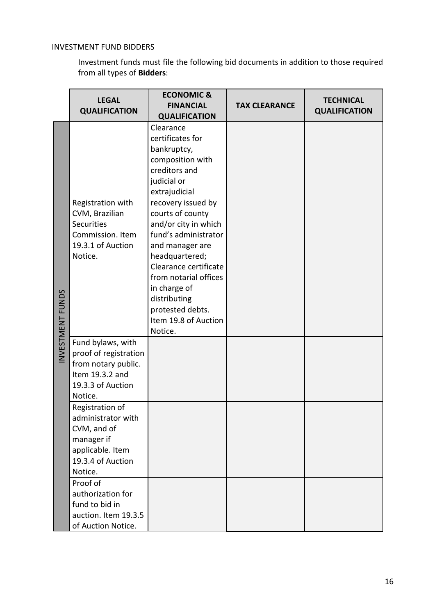# INVESTMENT FUND BIDDERS

Investment funds must file the following bid documents in addition to those required from all types of **Bidders**:

|                 | <b>LEGAL</b><br><b>QUALIFICATION</b>                                                                                   | <b>ECONOMIC &amp;</b><br><b>FINANCIAL</b><br><b>QUALIFICATION</b>                                                                                                                                                                                                                                                                                                                         | <b>TAX CLEARANCE</b> | <b>TECHNICAL</b><br><b>QUALIFICATION</b> |
|-----------------|------------------------------------------------------------------------------------------------------------------------|-------------------------------------------------------------------------------------------------------------------------------------------------------------------------------------------------------------------------------------------------------------------------------------------------------------------------------------------------------------------------------------------|----------------------|------------------------------------------|
| NVESTMENT FUNDS | Registration with<br>CVM, Brazilian<br><b>Securities</b><br>Commission. Item<br>19.3.1 of Auction<br>Notice.           | Clearance<br>certificates for<br>bankruptcy,<br>composition with<br>creditors and<br>judicial or<br>extrajudicial<br>recovery issued by<br>courts of county<br>and/or city in which<br>fund's administrator<br>and manager are<br>headquartered;<br>Clearance certificate<br>from notarial offices<br>in charge of<br>distributing<br>protested debts.<br>Item 19.8 of Auction<br>Notice. |                      |                                          |
|                 | Fund bylaws, with<br>proof of registration<br>from notary public.<br>Item 19.3.2 and<br>19.3.3 of Auction<br>Notice.   |                                                                                                                                                                                                                                                                                                                                                                                           |                      |                                          |
|                 | Registration of<br>administrator with<br>CVM, and of<br>manager if<br>applicable. Item<br>19.3.4 of Auction<br>Notice. |                                                                                                                                                                                                                                                                                                                                                                                           |                      |                                          |
|                 | Proof of<br>authorization for<br>fund to bid in<br>auction. Item 19.3.5<br>of Auction Notice.                          |                                                                                                                                                                                                                                                                                                                                                                                           |                      |                                          |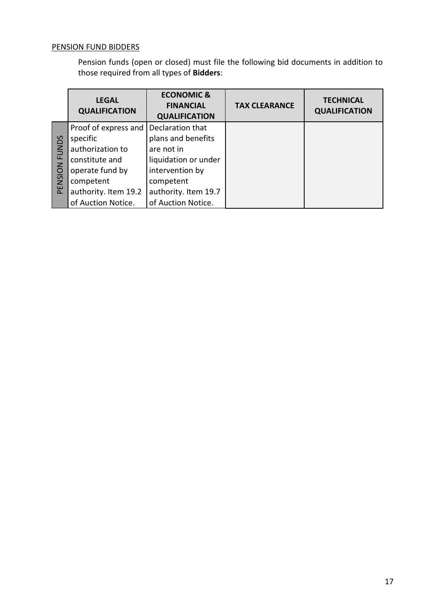# PENSION FUND BIDDERS

Pension funds (open or closed) must file the following bid documents in addition to those required from all types of **Bidders**:

|             | <b>LEGAL</b><br><b>QUALIFICATION</b> | <b>ECONOMIC &amp;</b><br><b>FINANCIAL</b><br><b>QUALIFICATION</b> | <b>TAX CLEARANCE</b> | <b>TECHNICAL</b><br><b>QUALIFICATION</b> |
|-------------|--------------------------------------|-------------------------------------------------------------------|----------------------|------------------------------------------|
|             | Proof of express and                 | Declaration that                                                  |                      |                                          |
|             | specific                             | plans and benefits                                                |                      |                                          |
| <b>UNDS</b> | authorization to                     | are not in                                                        |                      |                                          |
| Щ           | constitute and                       | liquidation or under                                              |                      |                                          |
| PENSION     | operate fund by                      | intervention by                                                   |                      |                                          |
|             | competent                            | competent                                                         |                      |                                          |
|             | authority. Item 19.2                 | authority. Item 19.7                                              |                      |                                          |
|             | of Auction Notice.                   | of Auction Notice.                                                |                      |                                          |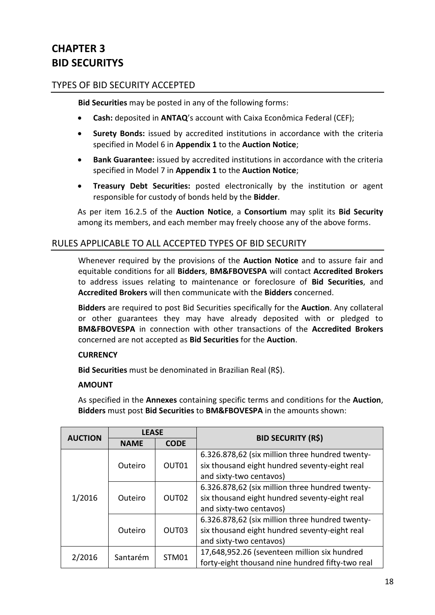# **CHAPTER 3 BID SECURITYS**

# TYPES OF BID SECURITY ACCEPTED

**Bid Securities** may be posted in any of the following forms:

- **Cash:** deposited in **ANTAQ**'s account with Caixa Econômica Federal (CEF);
- **Surety Bonds:** issued by accredited institutions in accordance with the criteria specified in Model 6 in **Appendix 1** to the **Auction Notice**;
- **Bank Guarantee:** issued by accredited institutions in accordance with the criteria specified in Model 7 in **Appendix 1** to the **Auction Notice**;
- **Treasury Debt Securities:** posted electronically by the institution or agent responsible for custody of bonds held by the **Bidder**.

As per item 16.2.5 of the **Auction Notice**, a **Consortium** may split its **Bid Security** among its members, and each member may freely choose any of the above forms.

## RULES APPLICABLE TO ALL ACCEPTED TYPES OF BID SECURITY

Whenever required by the provisions of the **Auction Notice** and to assure fair and equitable conditions for all **Bidders**, **BM&FBOVESPA** will contact **Accredited Brokers**  to address issues relating to maintenance or foreclosure of **Bid Securities**, and **Accredited Brokers** will then communicate with the **Bidders** concerned.

**Bidders** are required to post Bid Securities specifically for the **Auction**. Any collateral or other guarantees they may have already deposited with or pledged to **BM&FBOVESPA** in connection with other transactions of the **Accredited Brokers** concerned are not accepted as **Bid Securities** for the **Auction**.

### **CURRENCY**

**Bid Securities** must be denominated in Brazilian Real (R\$).

### **AMOUNT**

As specified in the **Annexes** containing specific terms and conditions for the **Auction**, **Bidders** must post **Bid Securities** to **BM&FBOVESPA** in the amounts shown:

|                  | <b>LEASE</b><br><b>AUCTION</b><br><b>CODE</b><br><b>NAME</b> |                   | <b>BID SECURITY (R\$)</b>                                                                                                   |
|------------------|--------------------------------------------------------------|-------------------|-----------------------------------------------------------------------------------------------------------------------------|
|                  |                                                              |                   |                                                                                                                             |
|                  | Outeiro                                                      | OUT01             | 6.326.878,62 (six million three hundred twenty-<br>six thousand eight hundred seventy-eight real<br>and sixty-two centavos) |
| 1/2016           | Outeiro                                                      | OUT <sub>02</sub> | 6.326.878,62 (six million three hundred twenty-<br>six thousand eight hundred seventy-eight real<br>and sixty-two centavos) |
| OUT03<br>Outeiro |                                                              |                   | 6.326.878,62 (six million three hundred twenty-<br>six thousand eight hundred seventy-eight real<br>and sixty-two centavos) |
| 2/2016           | Santarém                                                     | STM01             | 17,648,952.26 (seventeen million six hundred<br>forty-eight thousand nine hundred fifty-two real                            |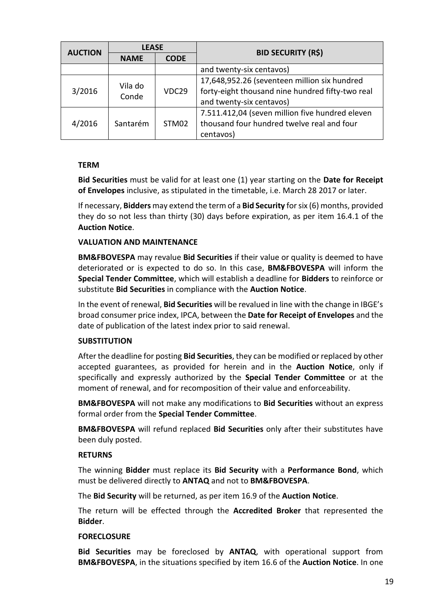|                            | <b>LEASE</b> |                                              | <b>BID SECURITY (R\$)</b>                        |
|----------------------------|--------------|----------------------------------------------|--------------------------------------------------|
| <b>AUCTION</b>             | <b>NAME</b>  | <b>CODE</b>                                  |                                                  |
|                            |              |                                              | and twenty-six centavos)                         |
| Vila do<br>3/2016<br>Conde | VDC29        | 17,648,952.26 (seventeen million six hundred |                                                  |
|                            |              |                                              | forty-eight thousand nine hundred fifty-two real |
|                            |              |                                              | and twenty-six centavos)                         |
|                            |              |                                              | 7.511.412,04 (seven million five hundred eleven  |
| 4/2016                     | Santarém     | STM02                                        | thousand four hundred twelve real and four       |
|                            |              |                                              | centavos)                                        |

#### **TERM**

**Bid Securities** must be valid for at least one (1) year starting on the **Date for Receipt of Envelopes** inclusive, as stipulated in the timetable, i.e. March 28 2017 or later.

If necessary, **Bidders** may extend the term of a **Bid Security** for six (6) months, provided they do so not less than thirty (30) days before expiration, as per item 16.4.1 of the **Auction Notice**.

#### **VALUATION AND MAINTENANCE**

**BM&FBOVESPA** may revalue **Bid Securities** if their value or quality is deemed to have deteriorated or is expected to do so. In this case, **BM&FBOVESPA** will inform the **Special Tender Committee**, which will establish a deadline for **Bidders** to reinforce or substitute **Bid Securities** in compliance with the **Auction Notice**.

In the event of renewal, **Bid Securities** will be revalued in line with the change in IBGE's broad consumer price index, IPCA, between the **Date for Receipt of Envelopes** and the date of publication of the latest index prior to said renewal.

#### **SUBSTITUTION**

After the deadline for posting **Bid Securities**, they can be modified or replaced by other accepted guarantees, as provided for herein and in the **Auction Notice**, only if specifically and expressly authorized by the **Special Tender Committee** or at the moment of renewal, and for recomposition of their value and enforceability.

**BM&FBOVESPA** will not make any modifications to **Bid Securities** without an express formal order from the **Special Tender Committee**.

**BM&FBOVESPA** will refund replaced **Bid Securities** only after their substitutes have been duly posted.

#### **RETURNS**

The winning **Bidder** must replace its **Bid Security** with a **Performance Bond**, which must be delivered directly to **ANTAQ** and not to **BM&FBOVESPA**.

The **Bid Security** will be returned, as per item 16.9 of the **Auction Notice**.

The return will be effected through the **Accredited Broker** that represented the **Bidder**.

#### **FORECLOSURE**

**Bid Securities** may be foreclosed by **ANTAQ**, with operational support from **BM&FBOVESPA**, in the situations specified by item 16.6 of the **Auction Notice**. In one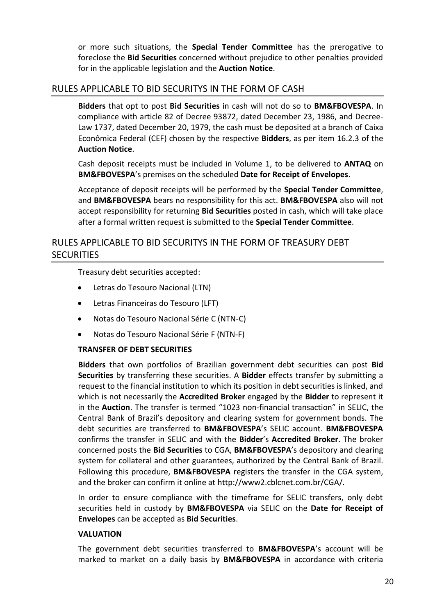or more such situations, the **Special Tender Committee** has the prerogative to foreclose the **Bid Securities** concerned without prejudice to other penalties provided for in the applicable legislation and the **Auction Notice**.

## RULES APPLICABLE TO BID SECURITYS IN THE FORM OF CASH

**Bidders** that opt to post **Bid Securities** in cash will not do so to **BM&FBOVESPA**. In compliance with article 82 of Decree 93872, dated December 23, 1986, and Decree-Law 1737, dated December 20, 1979, the cash must be deposited at a branch of Caixa Econômica Federal (CEF) chosen by the respective **Bidders**, as per item 16.2.3 of the **Auction Notice**.

Cash deposit receipts must be included in Volume 1, to be delivered to **ANTAQ** on **BM&FBOVESPA**'s premises on the scheduled **Date for Receipt of Envelopes**.

Acceptance of deposit receipts will be performed by the **Special Tender Committee**, and **BM&FBOVESPA** bears no responsibility for this act. **BM&FBOVESPA** also will not accept responsibility for returning **Bid Securities** posted in cash, which will take place after a formal written request is submitted to the **Special Tender Committee**.

# RULES APPLICABLE TO BID SECURITYS IN THE FORM OF TREASURY DEBT **SECURITIES**

Treasury debt securities accepted:

- Letras do Tesouro Nacional (LTN)
- Letras Financeiras do Tesouro (LFT)
- Notas do Tesouro Nacional Série C (NTN-C)
- Notas do Tesouro Nacional Série F (NTN-F)

#### **TRANSFER OF DEBT SECURITIES**

**Bidders** that own portfolios of Brazilian government debt securities can post **Bid Securities** by transferring these securities. A **Bidder** effects transfer by submitting a request to the financial institution to which its position in debt securities is linked, and which is not necessarily the **Accredited Broker** engaged by the **Bidder** to represent it in the **Auction**. The transfer is termed "1023 non-financial transaction" in SELIC, the Central Bank of Brazil's depository and clearing system for government bonds. The debt securities are transferred to **BM&FBOVESPA**'s SELIC account. **BM&FBOVESPA** confirms the transfer in SELIC and with the **Bidder**'s **Accredited Broker**. The broker concerned posts the **Bid Securities** to CGA, **BM&FBOVESPA**'s depository and clearing system for collateral and other guarantees, authorized by the Central Bank of Brazil. Following this procedure, **BM&FBOVESPA** registers the transfer in the CGA system, and the broker can confirm it online at http://www2.cblcnet.com.br/CGA/.

In order to ensure compliance with the timeframe for SELIC transfers, only debt securities held in custody by **BM&FBOVESPA** via SELIC on the **Date for Receipt of Envelopes** can be accepted as **Bid Securities**.

#### **VALUATION**

The government debt securities transferred to **BM&FBOVESPA**'s account will be marked to market on a daily basis by **BM&FBOVESPA** in accordance with criteria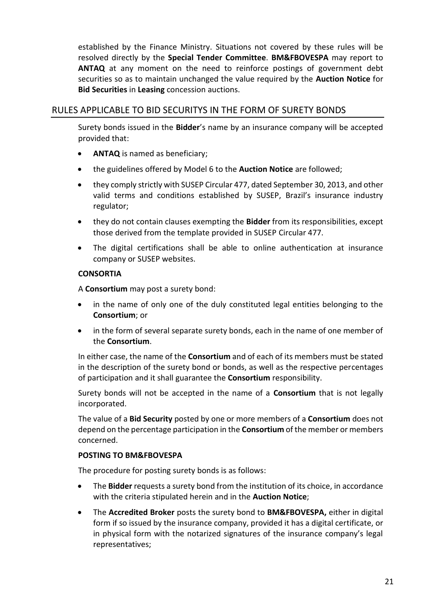established by the Finance Ministry. Situations not covered by these rules will be resolved directly by the **Special Tender Committee**. **BM&FBOVESPA** may report to **ANTAQ** at any moment on the need to reinforce postings of government debt securities so as to maintain unchanged the value required by the **Auction Notice** for **Bid Securities** in **Leasing** concession auctions.

# RULES APPLICABLE TO BID SECURITYS IN THE FORM OF SURETY BONDS

Surety bonds issued in the **Bidder**'s name by an insurance company will be accepted provided that:

- **ANTAQ** is named as beneficiary;
- the guidelines offered by Model 6 to the **Auction Notice** are followed;
- they comply strictly with SUSEP Circular 477, dated September 30, 2013, and other valid terms and conditions established by SUSEP, Brazil's insurance industry regulator;
- they do not contain clauses exempting the **Bidder** from its responsibilities, except those derived from the template provided in SUSEP Circular 477.
- The digital certifications shall be able to online authentication at insurance company or SUSEP websites.

#### **CONSORTIA**

A **Consortium** may post a surety bond:

- in the name of only one of the duly constituted legal entities belonging to the **Consortium**; or
- in the form of several separate surety bonds, each in the name of one member of the **Consortium**.

In either case, the name of the **Consortium** and of each of its members must be stated in the description of the surety bond or bonds, as well as the respective percentages of participation and it shall guarantee the **Consortium** responsibility.

Surety bonds will not be accepted in the name of a **Consortium** that is not legally incorporated.

The value of a **Bid Security** posted by one or more members of a **Consortium** does not depend on the percentage participation in the **Consortium** of the member or members concerned.

### **POSTING TO BM&FBOVESPA**

The procedure for posting surety bonds is as follows:

- The **Bidder** requests a surety bond from the institution of its choice, in accordance with the criteria stipulated herein and in the **Auction Notice**;
- The **Accredited Broker** posts the surety bond to **BM&FBOVESPA,** either in digital form if so issued by the insurance company, provided it has a digital certificate, or in physical form with the notarized signatures of the insurance company's legal representatives;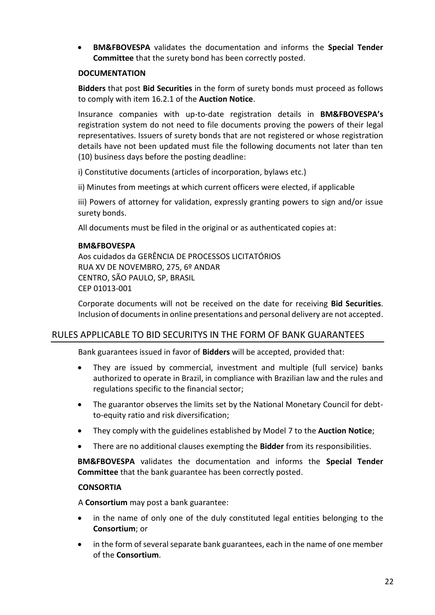**BM&FBOVESPA** validates the documentation and informs the **Special Tender Committee** that the surety bond has been correctly posted.

#### **DOCUMENTATION**

**Bidders** that post **Bid Securities** in the form of surety bonds must proceed as follows to comply with item 16.2.1 of the **Auction Notice**.

Insurance companies with up-to-date registration details in **BM&FBOVESPA's** registration system do not need to file documents proving the powers of their legal representatives. Issuers of surety bonds that are not registered or whose registration details have not been updated must file the following documents not later than ten (10) business days before the posting deadline:

i) Constitutive documents (articles of incorporation, bylaws etc.)

ii) Minutes from meetings at which current officers were elected, if applicable

iii) Powers of attorney for validation, expressly granting powers to sign and/or issue surety bonds.

All documents must be filed in the original or as authenticated copies at:

#### **BM&FBOVESPA**

Aos cuidados da GERÊNCIA DE PROCESSOS LICITATÓRIOS RUA XV DE NOVEMBRO, 275, 6º ANDAR CENTRO, SÃO PAULO, SP, BRASIL CEP 01013-001

Corporate documents will not be received on the date for receiving **Bid Securities**. Inclusion of documents in online presentations and personal delivery are not accepted.

## RULES APPLICABLE TO BID SECURITYS IN THE FORM OF BANK GUARANTEES

Bank guarantees issued in favor of **Bidders** will be accepted, provided that:

- They are issued by commercial, investment and multiple (full service) banks authorized to operate in Brazil, in compliance with Brazilian law and the rules and regulations specific to the financial sector;
- The guarantor observes the limits set by the National Monetary Council for debtto-equity ratio and risk diversification;
- They comply with the guidelines established by Model 7 to the **Auction Notice**;
- There are no additional clauses exempting the **Bidder** from its responsibilities.

**BM&FBOVESPA** validates the documentation and informs the **Special Tender Committee** that the bank guarantee has been correctly posted.

### **CONSORTIA**

A **Consortium** may post a bank guarantee:

- in the name of only one of the duly constituted legal entities belonging to the **Consortium**; or
- in the form of several separate bank guarantees, each in the name of one member of the **Consortium**.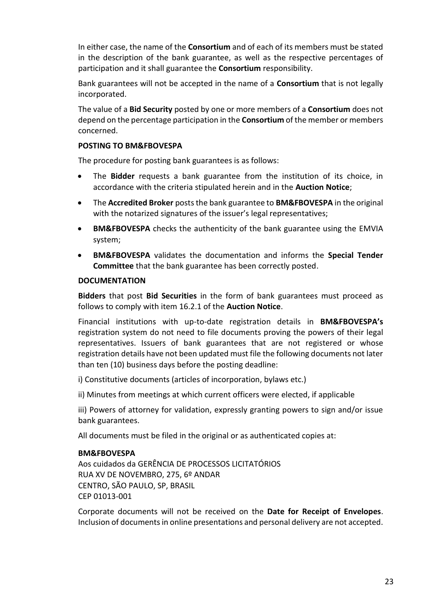In either case, the name of the **Consortium** and of each of its members must be stated in the description of the bank guarantee, as well as the respective percentages of participation and it shall guarantee the **Consortium** responsibility.

Bank guarantees will not be accepted in the name of a **Consortium** that is not legally incorporated.

The value of a **Bid Security** posted by one or more members of a **Consortium** does not depend on the percentage participation in the **Consortium** of the member or members concerned.

### **POSTING TO BM&FBOVESPA**

The procedure for posting bank guarantees is as follows:

- The **Bidder** requests a bank guarantee from the institution of its choice, in accordance with the criteria stipulated herein and in the **Auction Notice**;
- The **Accredited Broker** posts the bank guarantee to **BM&FBOVESPA** in the original with the notarized signatures of the issuer's legal representatives;
- **BM&FBOVESPA** checks the authenticity of the bank guarantee using the EMVIA system;
- **BM&FBOVESPA** validates the documentation and informs the **Special Tender Committee** that the bank guarantee has been correctly posted.

#### **DOCUMENTATION**

**Bidders** that post **Bid Securities** in the form of bank guarantees must proceed as follows to comply with item 16.2.1 of the **Auction Notice**.

Financial institutions with up-to-date registration details in **BM&FBOVESPA's** registration system do not need to file documents proving the powers of their legal representatives. Issuers of bank guarantees that are not registered or whose registration details have not been updated must file the following documents not later than ten (10) business days before the posting deadline:

i) Constitutive documents (articles of incorporation, bylaws etc.)

ii) Minutes from meetings at which current officers were elected, if applicable

iii) Powers of attorney for validation, expressly granting powers to sign and/or issue bank guarantees.

All documents must be filed in the original or as authenticated copies at:

#### **BM&FBOVESPA**

Aos cuidados da GERÊNCIA DE PROCESSOS LICITATÓRIOS RUA XV DE NOVEMBRO, 275, 6º ANDAR CENTRO, SÃO PAULO, SP, BRASIL CEP 01013-001

Corporate documents will not be received on the **Date for Receipt of Envelopes**. Inclusion of documents in online presentations and personal delivery are not accepted.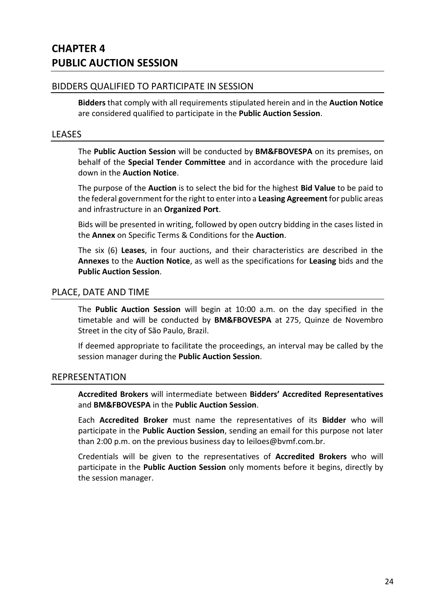### BIDDERS QUALIFIED TO PARTICIPATE IN SESSION

**Bidders** that comply with all requirements stipulated herein and in the **Auction Notice** are considered qualified to participate in the **Public Auction Session**.

#### LEASES

The **Public Auction Session** will be conducted by **BM&FBOVESPA** on its premises, on behalf of the **Special Tender Committee** and in accordance with the procedure laid down in the **Auction Notice**.

The purpose of the **Auction** is to select the bid for the highest **Bid Value** to be paid to the federal government for the right to enter into a **Leasing Agreement** for public areas and infrastructure in an **Organized Port**.

Bids will be presented in writing, followed by open outcry bidding in the cases listed in the **Annex** on Specific Terms & Conditions for the **Auction**.

The six (6) **Leases**, in four auctions, and their characteristics are described in the **Annexes** to the **Auction Notice**, as well as the specifications for **Leasing** bids and the **Public Auction Session**.

#### PLACE, DATE AND TIME

The **Public Auction Session** will begin at 10:00 a.m. on the day specified in the timetable and will be conducted by **BM&FBOVESPA** at 275, Quinze de Novembro Street in the city of São Paulo, Brazil.

If deemed appropriate to facilitate the proceedings, an interval may be called by the session manager during the **Public Auction Session**.

#### REPRESENTATION

**Accredited Brokers** will intermediate between **Bidders' Accredited Representatives** and **BM&FBOVESPA** in the **Public Auction Session**.

Each **Accredited Broker** must name the representatives of its **Bidder** who will participate in the **Public Auction Session**, sending an email for this purpose not later than 2:00 p.m. on the previous business day to leiloes@bvmf.com.br.

Credentials will be given to the representatives of **Accredited Brokers** who will participate in the **Public Auction Session** only moments before it begins, directly by the session manager.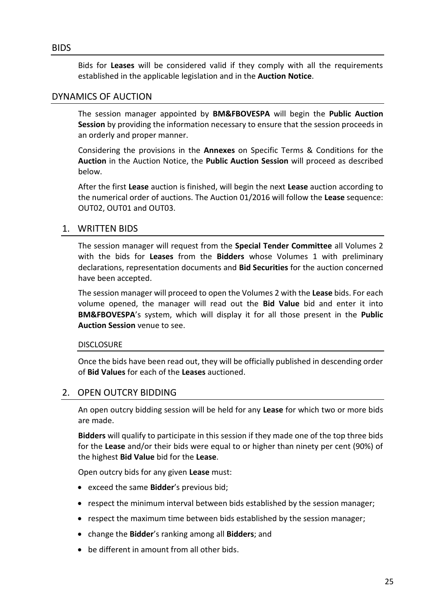Bids for **Leases** will be considered valid if they comply with all the requirements established in the applicable legislation and in the **Auction Notice**.

## DYNAMICS OF AUCTION

The session manager appointed by **BM&FBOVESPA** will begin the **Public Auction Session** by providing the information necessary to ensure that the session proceeds in an orderly and proper manner.

Considering the provisions in the **Annexes** on Specific Terms & Conditions for the **Auction** in the Auction Notice, the **Public Auction Session** will proceed as described below.

After the first **Lease** auction is finished, will begin the next **Lease** auction according to the numerical order of auctions. The Auction 01/2016 will follow the **Lease** sequence: OUT02, OUT01 and OUT03.

## 1. WRITTEN BIDS

The session manager will request from the **Special Tender Committee** all Volumes 2 with the bids for **Leases** from the **Bidders** whose Volumes 1 with preliminary declarations, representation documents and **Bid Securities** for the auction concerned have been accepted.

The session manager will proceed to open the Volumes 2 with the **Lease** bids. For each volume opened, the manager will read out the **Bid Value** bid and enter it into **BM&FBOVESPA**'s system, which will display it for all those present in the **Public Auction Session** venue to see.

#### DISCLOSURE

Once the bids have been read out, they will be officially published in descending order of **Bid Values** for each of the **Leases** auctioned.

## 2. OPEN OUTCRY BIDDING

An open outcry bidding session will be held for any **Lease** for which two or more bids are made.

**Bidders** will qualify to participate in this session if they made one of the top three bids for the **Lease** and/or their bids were equal to or higher than ninety per cent (90%) of the highest **Bid Value** bid for the **Lease**.

Open outcry bids for any given **Lease** must:

- exceed the same **Bidder**'s previous bid;
- respect the minimum interval between bids established by the session manager;
- respect the maximum time between bids established by the session manager;
- change the **Bidder**'s ranking among all **Bidders**; and
- be different in amount from all other bids.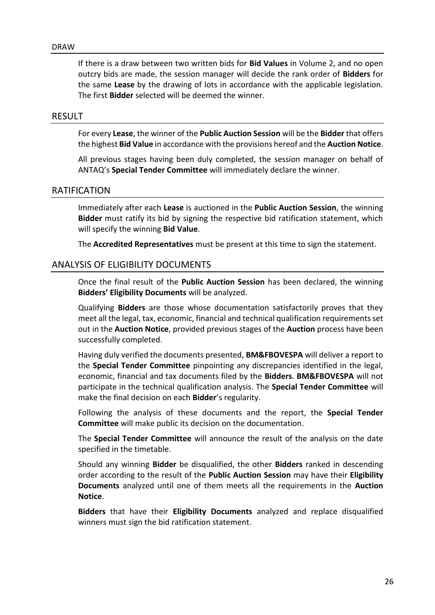If there is a draw between two written bids for **Bid Values** in Volume 2, and no open outcry bids are made, the session manager will decide the rank order of **Bidders** for the same **Lease** by the drawing of lots in accordance with the applicable legislation. The first **Bidder** selected will be deemed the winner.

#### RESULT

For every **Lease**, the winner of the **Public Auction Session** will be the **Bidder** that offers the highest **Bid Value** in accordance with the provisions hereof and the **Auction Notice**.

All previous stages having been duly completed, the session manager on behalf of ANTAQ's **Special Tender Committee** will immediately declare the winner.

#### RATIFICATION

Immediately after each **Lease** is auctioned in the **Public Auction Session**, the winning **Bidder** must ratify its bid by signing the respective bid ratification statement, which will specify the winning **Bid Value**.

The **Accredited Representatives** must be present at this time to sign the statement.

#### ANALYSIS OF ELIGIBILITY DOCUMENTS

Once the final result of the **Public Auction Session** has been declared, the winning **Bidders' Eligibility Documents** will be analyzed.

Qualifying **Bidders** are those whose documentation satisfactorily proves that they meet all the legal, tax, economic, financial and technical qualification requirements set out in the **Auction Notice**, provided previous stages of the **Auction** process have been successfully completed.

Having duly verified the documents presented, **BM&FBOVESPA** will deliver a report to the **Special Tender Committee** pinpointing any discrepancies identified in the legal, economic, financial and tax documents filed by the **Bidders**. **BM&FBOVESPA** will not participate in the technical qualification analysis. The **Special Tender Committee** will make the final decision on each **Bidder**'s regularity.

Following the analysis of these documents and the report, the **Special Tender Committee** will make public its decision on the documentation.

The **Special Tender Committee** will announce the result of the analysis on the date specified in the timetable.

Should any winning **Bidder** be disqualified, the other **Bidders** ranked in descending order according to the result of the **Public Auction Session** may have their **Eligibility Documents** analyzed until one of them meets all the requirements in the **Auction Notice**.

**Bidders** that have their **Eligibility Documents** analyzed and replace disqualified winners must sign the bid ratification statement.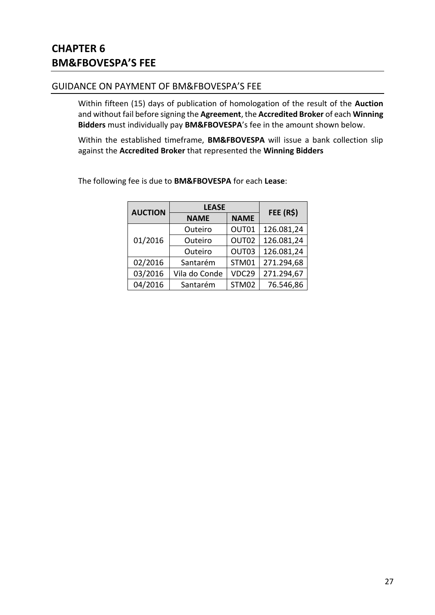## GUIDANCE ON PAYMENT OF BM&FBOVESPA'S FEE

Within fifteen (15) days of publication of homologation of the result of the **Auction** and without fail before signing the **Agreement**, the **Accredited Broker** of each **Winning Bidders** must individually pay **BM&FBOVESPA**'s fee in the amount shown below.

Within the established timeframe, **BM&FBOVESPA** will issue a bank collection slip against the **Accredited Broker** that represented the **Winning Bidders**

| <b>AUCTION</b> | <b>LEASE</b>  |              | FEE (R\$)  |
|----------------|---------------|--------------|------------|
|                | <b>NAME</b>   | <b>NAME</b>  |            |
| 01/2016        | Outeiro       | OUT01        | 126.081,24 |
|                | Outeiro       | OUT02        | 126.081,24 |
|                | Outeiro       | OUT03        | 126.081,24 |
| 02/2016        | Santarém      | <b>STM01</b> | 271.294,68 |
| 03/2016        | Vila do Conde | VDC29        | 271.294,67 |
| 04/2016        | Santarém      | STM02        | 76.546,86  |

The following fee is due to **BM&FBOVESPA** for each **Lease**: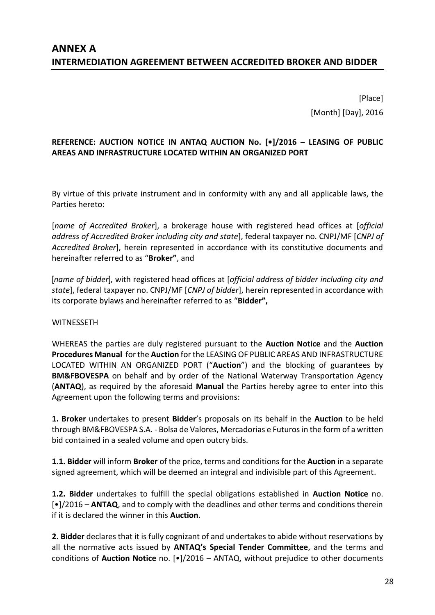# **ANNEX A INTERMEDIATION AGREEMENT BETWEEN ACCREDITED BROKER AND BIDDER**

[Place] [Month] [Day], 2016

## **REFERENCE: AUCTION NOTICE IN ANTAQ AUCTION No. [•]/2016 – LEASING OF PUBLIC AREAS AND INFRASTRUCTURE LOCATED WITHIN AN ORGANIZED PORT**

By virtue of this private instrument and in conformity with any and all applicable laws, the Parties hereto:

[*name of Accredited Broker*], a brokerage house with registered head offices at [*official address of Accredited Broker including city and state*], federal taxpayer no. CNPJ/MF [*CNPJ of Accredited Broker*], herein represented in accordance with its constitutive documents and hereinafter referred to as "**Broker"**, and

[*name of bidder*], with registered head offices at [*official address of bidder including city and state*], federal taxpayer no. CNPJ/MF [*CNPJ of bidder*], herein represented in accordance with its corporate bylaws and hereinafter referred to as "**Bidder",**

#### **WITNESSFTH**

WHEREAS the parties are duly registered pursuant to the **Auction Notice** and the **Auction Procedures Manual** for the **Auction** for the LEASING OF PUBLIC AREAS AND INFRASTRUCTURE LOCATED WITHIN AN ORGANIZED PORT ("**Auction**") and the blocking of guarantees by **BM&FBOVESPA** on behalf and by order of the National Waterway Transportation Agency (**ANTAQ**), as required by the aforesaid **Manual** the Parties hereby agree to enter into this Agreement upon the following terms and provisions:

**1. Broker** undertakes to present **Bidder**'s proposals on its behalf in the **Auction** to be held through BM&FBOVESPA S.A. - Bolsa de Valores, Mercadorias e Futuros in the form of a written bid contained in a sealed volume and open outcry bids.

**1.1. Bidder** will inform **Broker** of the price, terms and conditions for the **Auction** in a separate signed agreement, which will be deemed an integral and indivisible part of this Agreement.

**1.2. Bidder** undertakes to fulfill the special obligations established in **Auction Notice** no. [•]/2016 – **ANTAQ**, and to comply with the deadlines and other terms and conditions therein if it is declared the winner in this **Auction**.

**2. Bidder** declares that it is fully cognizant of and undertakes to abide without reservations by all the normative acts issued by **ANTAQ's Special Tender Committee**, and the terms and conditions of **Auction Notice** no. [•]/2016 – ANTAQ, without prejudice to other documents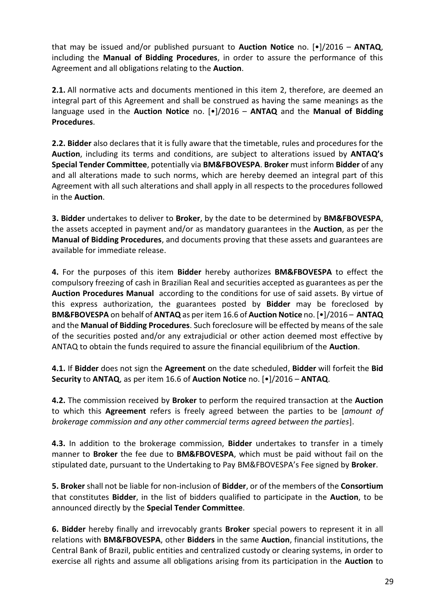that may be issued and/or published pursuant to **Auction Notice** no. [•]/2016 – **ANTAQ**, including the **Manual of Bidding Procedures**, in order to assure the performance of this Agreement and all obligations relating to the **Auction**.

**2.1.** All normative acts and documents mentioned in this item 2, therefore, are deemed an integral part of this Agreement and shall be construed as having the same meanings as the language used in the **Auction Notice** no. [•]/2016 – **ANTAQ** and the **Manual of Bidding Procedures**.

**2.2. Bidder** also declares that it is fully aware that the timetable, rules and procedures for the **Auction**, including its terms and conditions, are subject to alterations issued by **ANTAQ's Special Tender Committee**, potentially via **BM&FBOVESPA**. **Broker** must inform **Bidder** of any and all alterations made to such norms, which are hereby deemed an integral part of this Agreement with all such alterations and shall apply in all respects to the procedures followed in the **Auction**.

**3. Bidder** undertakes to deliver to **Broker**, by the date to be determined by **BM&FBOVESPA**, the assets accepted in payment and/or as mandatory guarantees in the **Auction**, as per the **Manual of Bidding Procedures**, and documents proving that these assets and guarantees are available for immediate release.

**4.** For the purposes of this item **Bidder** hereby authorizes **BM&FBOVESPA** to effect the compulsory freezing of cash in Brazilian Real and securities accepted as guarantees as per the **Auction Procedures Manual** according to the conditions for use of said assets. By virtue of this express authorization, the guarantees posted by **Bidder** may be foreclosed by **BM&FBOVESPA** on behalf of **ANTAQ** as per item 16.6 of **Auction Notice** no. [•]/2016 – **ANTAQ** and the **Manual of Bidding Procedures**. Such foreclosure will be effected by means of the sale of the securities posted and/or any extrajudicial or other action deemed most effective by ANTAQ to obtain the funds required to assure the financial equilibrium of the **Auction**.

**4.1.** If **Bidder** does not sign the **Agreement** on the date scheduled, **Bidder** will forfeit the **Bid Security** to **ANTAQ**, as per item 16.6 of **Auction Notice** no. [•]/2016 – **ANTAQ**.

**4.2.** The commission received by **Broker** to perform the required transaction at the **Auction** to which this **Agreement** refers is freely agreed between the parties to be [*amount of brokerage commission and any other commercial terms agreed between the parties*].

**4.3.** In addition to the brokerage commission, **Bidder** undertakes to transfer in a timely manner to **Broker** the fee due to **BM&FBOVESPA**, which must be paid without fail on the stipulated date, pursuant to the Undertaking to Pay BM&FBOVESPA's Fee signed by **Broker**.

**5. Broker** shall not be liable for non-inclusion of **Bidder**, or of the members of the **Consortium** that constitutes **Bidder**, in the list of bidders qualified to participate in the **Auction**, to be announced directly by the **Special Tender Committee**.

**6. Bidder** hereby finally and irrevocably grants **Broker** special powers to represent it in all relations with **BM&FBOVESPA**, other **Bidders** in the same **Auction**, financial institutions, the Central Bank of Brazil, public entities and centralized custody or clearing systems, in order to exercise all rights and assume all obligations arising from its participation in the **Auction** to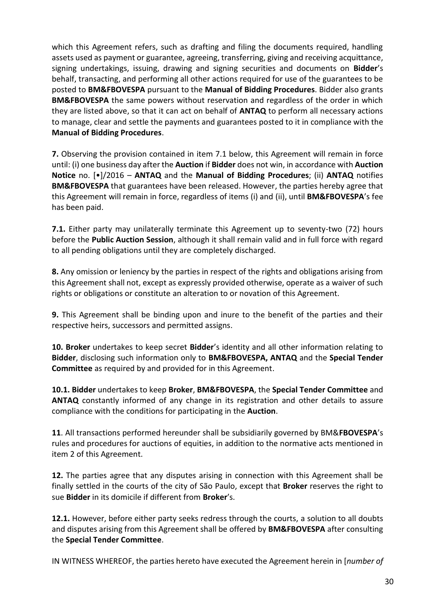which this Agreement refers, such as drafting and filing the documents required, handling assets used as payment or guarantee, agreeing, transferring, giving and receiving acquittance, signing undertakings, issuing, drawing and signing securities and documents on **Bidder**'s behalf, transacting, and performing all other actions required for use of the guarantees to be posted to **BM&FBOVESPA** pursuant to the **Manual of Bidding Procedures**. Bidder also grants **BM&FBOVESPA** the same powers without reservation and regardless of the order in which they are listed above, so that it can act on behalf of **ANTAQ** to perform all necessary actions to manage, clear and settle the payments and guarantees posted to it in compliance with the **Manual of Bidding Procedures**.

**7.** Observing the provision contained in item 7.1 below, this Agreement will remain in force until: (i) one business day after the **Auction** if **Bidder** does not win, in accordance with **Auction Notice** no. [•]/2016 – **ANTAQ** and the **Manual of Bidding Procedures**; (ii) **ANTAQ** notifies **BM&FBOVESPA** that guarantees have been released. However, the parties hereby agree that this Agreement will remain in force, regardless of items (i) and (ii), until **BM&FBOVESPA**'s fee has been paid.

**7.1.** Either party may unilaterally terminate this Agreement up to seventy-two (72) hours before the **Public Auction Session**, although it shall remain valid and in full force with regard to all pending obligations until they are completely discharged.

**8.** Any omission or leniency by the parties in respect of the rights and obligations arising from this Agreement shall not, except as expressly provided otherwise, operate as a waiver of such rights or obligations or constitute an alteration to or novation of this Agreement.

**9.** This Agreement shall be binding upon and inure to the benefit of the parties and their respective heirs, successors and permitted assigns.

**10. Broker** undertakes to keep secret **Bidder**'s identity and all other information relating to **Bidder**, disclosing such information only to **BM&FBOVESPA, ANTAQ** and the **Special Tender Committee** as required by and provided for in this Agreement.

**10.1. Bidder** undertakes to keep **Broker**, **BM&FBOVESPA**, the **Special Tender Committee** and **ANTAQ** constantly informed of any change in its registration and other details to assure compliance with the conditions for participating in the **Auction**.

**11**. All transactions performed hereunder shall be subsidiarily governed by BM&**FBOVESPA**'s rules and procedures for auctions of equities, in addition to the normative acts mentioned in item 2 of this Agreement.

**12.** The parties agree that any disputes arising in connection with this Agreement shall be finally settled in the courts of the city of São Paulo, except that **Broker** reserves the right to sue **Bidder** in its domicile if different from **Broker**'s.

**12.1.** However, before either party seeks redress through the courts, a solution to all doubts and disputes arising from this Agreement shall be offered by **BM&FBOVESPA** after consulting the **Special Tender Committee**.

IN WITNESS WHEREOF, the parties hereto have executed the Agreement herein in [*number of*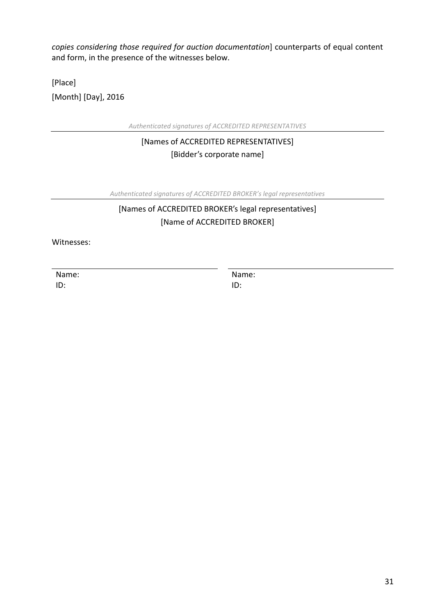*copies considering those required for auction documentation*] counterparts of equal content and form, in the presence of the witnesses below.

[Place] [Month] [Day], 2016

*Authenticated signatures of ACCREDITED REPRESENTATIVES*

[Names of ACCREDITED REPRESENTATIVES] [Bidder's corporate name]

*Authenticated signatures of ACCREDITED BROKER's legal representatives* 

# [Names of ACCREDITED BROKER's legal representatives] [Name of ACCREDITED BROKER]

Witnesses:

Name: ID:

Name: ID: